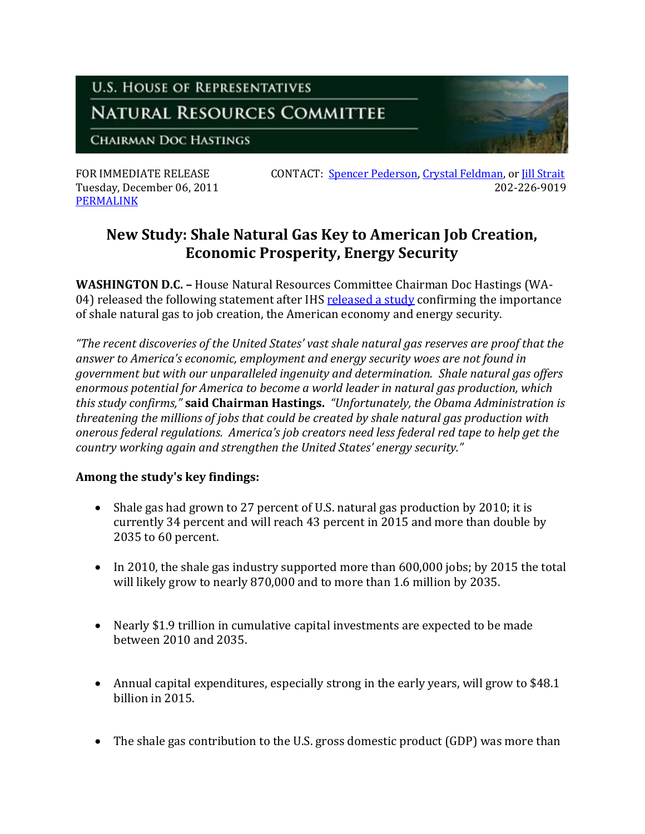## **U.S. HOUSE OF REPRESENTATIVES**

## **NATURAL RESOURCES COMMITTEE**

**CHAIRMAN DOC HASTINGS** 

[PERMALINK](http://naturalresources.house.gov/News/DocumentSingle.aspx?DocumentID=271446)

FOR IMMEDIATE RELEASE CONTACT: [Spencer Pederson,](mailto:spencer.pederson@mail.house.gov) [Crystal Feldman,](mailto:crystal.feldman@mail.house.gov) or [Jill Strait](mailto:jill.strait@mail.house.gov) Tuesday, December 06, 2011 202-226-9019

## **New Study: Shale Natural Gas Key to American Job Creation, Economic Prosperity, Energy Security**

**WASHINGTON D.C. –** House Natural Resources Committee Chairman Doc Hastings (WA-04) released the following statement after IH[S released a study](http://press.ihs.com/press-release/energy-power/shale-gas-supports-more-600000-american-jobs-today-2015-shale-gas-predict) confirming the importance of shale natural gas to job creation, the American economy and energy security.

*"The recent discoveries of the United States' vast shale natural gas reserves are proof that the answer to America's economic, employment and energy security woes are not found in government but with our unparalleled ingenuity and determination. Shale natural gas offers enormous potential for America to become a world leader in natural gas production, which this study confirms,"* **said Chairman Hastings.** *"Unfortunately, the Obama Administration is threatening the millions of jobs that could be created by shale natural gas production with onerous federal regulations. America's job creators need less federal red tape to help get the country working again and strengthen the United States' energy security."* 

## **Among the study's key findings:**

- Shale gas had grown to 27 percent of U.S. natural gas production by 2010; it is currently 34 percent and will reach 43 percent in 2015 and more than double by 2035 to 60 percent.
- In 2010, the shale gas industry supported more than 600,000 jobs; by 2015 the total will likely grow to nearly 870,000 and to more than 1.6 million by 2035.
- Nearly \$1.9 trillion in cumulative capital investments are expected to be made between 2010 and 2035.
- Annual capital expenditures, especially strong in the early years, will grow to \$48.1 billion in 2015.
- The shale gas contribution to the U.S. gross domestic product (GDP) was more than